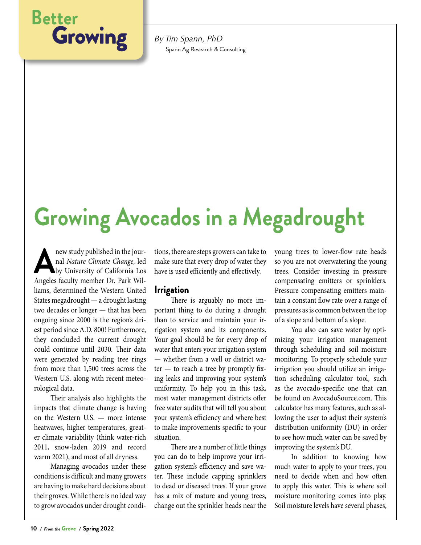

Spann Ag Research & Consulting

## **Growing Avocados in a Megadrought**

new study published in the jour-<br>
nal *Nature Climate Change*, led<br>
by University of California Los<br>
Angeles faculty member Dr. Park Wilnal *Nature Climate Change,* led by University of California Los Angeles faculty member Dr. Park Williams, determined the Western United States megadrought — a drought lasting two decades or longer — that has been ongoing since 2000 is the region's driest period since A.D. 800! Furthermore, they concluded the current drought could continue until 2030. Their data were generated by reading tree rings from more than 1,500 trees across the Western U.S. along with recent meteorological data.

Their analysis also highlights the impacts that climate change is having on the Western U.S. — more intense heatwaves, higher temperatures, greater climate variability (think water-rich 2011, snow-laden 2019 and record warm 2021), and most of all dryness.

Managing avocados under these conditions is difficult and many growers are having to make hard decisions about their groves. While there is no ideal way to grow avocados under drought conditions, there are steps growers can take to make sure that every drop of water they have is used efficiently and effectively.

## Irrigation

There is arguably no more important thing to do during a drought than to service and maintain your irrigation system and its components. Your goal should be for every drop of water that enters your irrigation system — whether from a well or district wa $ter - to reach a tree by promptly fix$ ing leaks and improving your system's uniformity. To help you in this task, most water management districts offer free water audits that will tell you about your system's efficiency and where best to make improvements specific to your situation.

There are a number of little things you can do to help improve your irrigation system's efficiency and save water. These include capping sprinklers to dead or diseased trees. If your grove has a mix of mature and young trees, change out the sprinkler heads near the

young trees to lower-flow rate heads so you are not overwatering the young trees. Consider investing in pressure compensating emitters or sprinklers. Pressure compensating emitters maintain a constant flow rate over a range of pressures as is common between the top of a slope and bottom of a slope.

You also can save water by optimizing your irrigation management through scheduling and soil moisture monitoring. To properly schedule your irrigation you should utilize an irrigation scheduling calculator tool, such as the avocado-specific one that can be found on AvocadoSource.com. This calculator has many features, such as allowing the user to adjust their system's distribution uniformity (DU) in order to see how much water can be saved by improving the system's DU.

In addition to knowing how much water to apply to your trees, you need to decide when and how often to apply this water. This is where soil moisture monitoring comes into play. Soil moisture levels have several phases,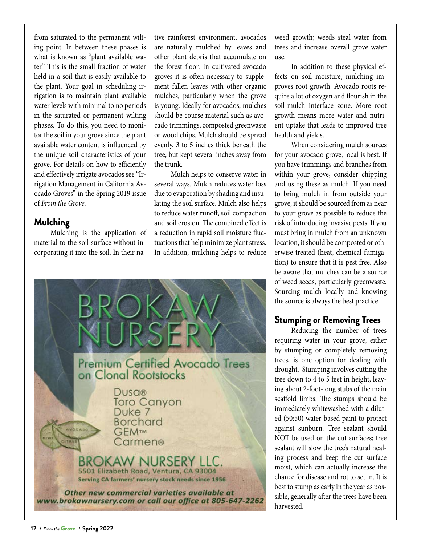from saturated to the permanent wilting point. In between these phases is what is known as "plant available water." This is the small fraction of water held in a soil that is easily available to the plant. Your goal in scheduling irrigation is to maintain plant available water levels with minimal to no periods in the saturated or permanent wilting phases. To do this, you need to monitor the soil in your grove since the plant available water content is influenced by the unique soil characteristics of your grove. For details on how to efficiently and effectively irrigate avocados see "Irrigation Management in California Avocado Groves" in the Spring 2019 issue of *From the Grove.*

## Mulching

Mulching is the application of material to the soil surface without incorporating it into the soil. In their na-

tive rainforest environment, avocados are naturally mulched by leaves and other plant debris that accumulate on the forest floor. In cultivated avocado groves it is often necessary to supplement fallen leaves with other organic mulches, particularly when the grove is young. Ideally for avocados, mulches should be course material such as avocado trimmings, composted greenwaste or wood chips. Mulch should be spread evenly, 3 to 5 inches thick beneath the tree, but kept several inches away from the trunk.

Mulch helps to conserve water in several ways. Mulch reduces water loss due to evaporation by shading and insulating the soil surface. Mulch also helps to reduce water runoff, soil compaction and soil erosion. The combined effect is a reduction in rapid soil moisture fluctuations that help minimize plant stress. In addition, mulching helps to reduce



weed growth; weeds steal water from trees and increase overall grove water use.

In addition to these physical effects on soil moisture, mulching improves root growth. Avocado roots require a lot of oxygen and flourish in the soil-mulch interface zone. More root growth means more water and nutrient uptake that leads to improved tree health and yields.

When considering mulch sources for your avocado grove, local is best. If you have trimmings and branches from within your grove, consider chipping and using these as mulch. If you need to bring mulch in from outside your grove, it should be sourced from as near to your grove as possible to reduce the risk of introducing invasive pests. If you must bring in mulch from an unknown location, it should be composted or otherwise treated (heat, chemical fumigation) to ensure that it is pest free. Also be aware that mulches can be a source of weed seeds, particularly greenwaste. Sourcing mulch locally and knowing the source is always the best practice.

## Stumping or Removing Trees

Reducing the number of trees requiring water in your grove, either by stumping or completely removing trees, is one option for dealing with drought. Stumping involves cutting the tree down to 4 to 5 feet in height, leaving about 2-foot-long stubs of the main scaffold limbs. The stumps should be immediately whitewashed with a diluted (50:50) water-based paint to protect against sunburn. Tree sealant should NOT be used on the cut surfaces; tree sealant will slow the tree's natural healing process and keep the cut surface moist, which can actually increase the chance for disease and rot to set in. It is best to stump as early in the year as possible, generally after the trees have been harvested.